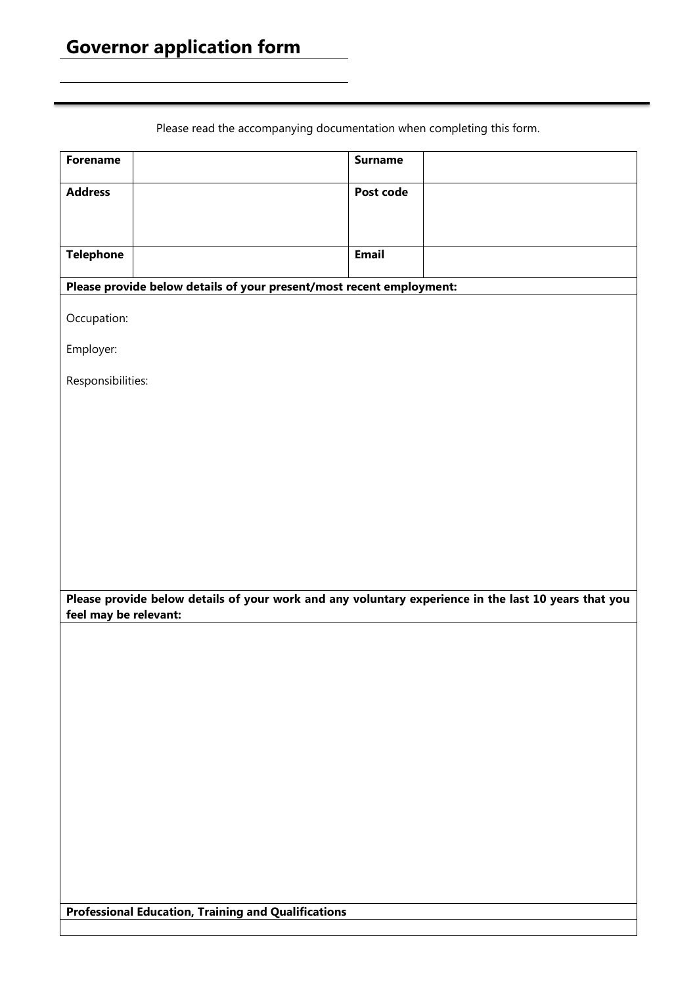## **Governor application form**

Please read the accompanying documentation when completing this form.

| <b>Forename</b>                                                      | <b>Surname</b>                                                                                       |  |  |
|----------------------------------------------------------------------|------------------------------------------------------------------------------------------------------|--|--|
| <b>Address</b>                                                       | Post code                                                                                            |  |  |
|                                                                      |                                                                                                      |  |  |
| <b>Telephone</b>                                                     | <b>Email</b>                                                                                         |  |  |
| Please provide below details of your present/most recent employment: |                                                                                                      |  |  |
| Occupation:                                                          |                                                                                                      |  |  |
| Employer:                                                            |                                                                                                      |  |  |
| Responsibilities:                                                    |                                                                                                      |  |  |
|                                                                      |                                                                                                      |  |  |
|                                                                      |                                                                                                      |  |  |
|                                                                      |                                                                                                      |  |  |
|                                                                      |                                                                                                      |  |  |
|                                                                      |                                                                                                      |  |  |
|                                                                      |                                                                                                      |  |  |
| feel may be relevant:                                                | Please provide below details of your work and any voluntary experience in the last 10 years that you |  |  |
|                                                                      |                                                                                                      |  |  |
|                                                                      |                                                                                                      |  |  |
|                                                                      |                                                                                                      |  |  |
|                                                                      |                                                                                                      |  |  |
|                                                                      |                                                                                                      |  |  |
|                                                                      |                                                                                                      |  |  |
|                                                                      |                                                                                                      |  |  |
|                                                                      |                                                                                                      |  |  |
|                                                                      |                                                                                                      |  |  |
| <b>Professional Education, Training and Qualifications</b>           |                                                                                                      |  |  |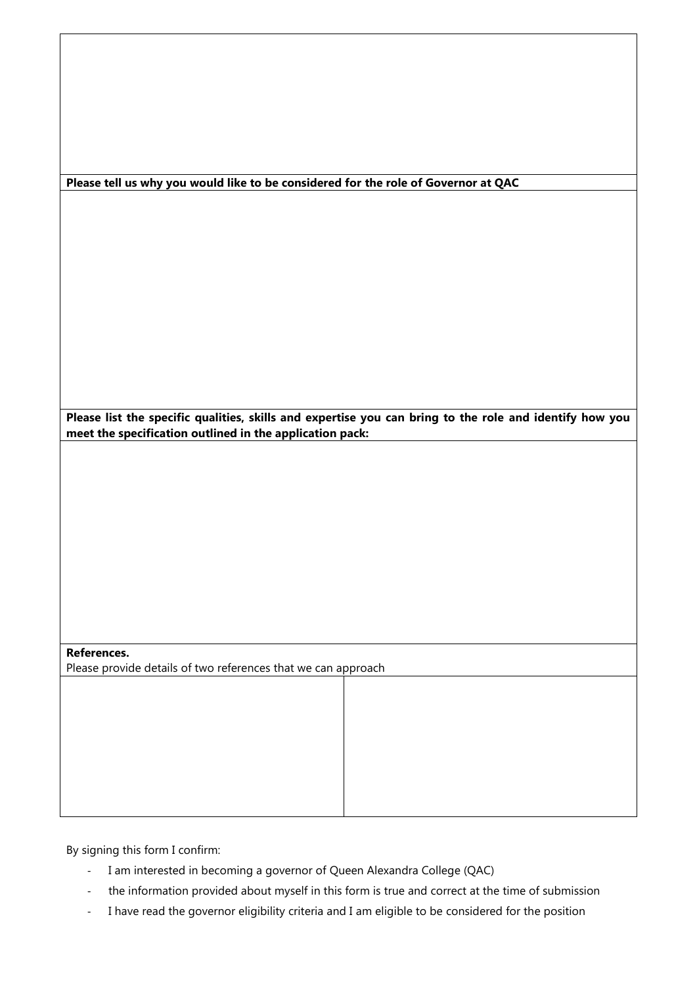| Please tell us why you would like to be considered for the role of Governor at QAC                      |  |  |
|---------------------------------------------------------------------------------------------------------|--|--|
|                                                                                                         |  |  |
|                                                                                                         |  |  |
|                                                                                                         |  |  |
|                                                                                                         |  |  |
|                                                                                                         |  |  |
|                                                                                                         |  |  |
|                                                                                                         |  |  |
|                                                                                                         |  |  |
|                                                                                                         |  |  |
|                                                                                                         |  |  |
|                                                                                                         |  |  |
|                                                                                                         |  |  |
|                                                                                                         |  |  |
|                                                                                                         |  |  |
|                                                                                                         |  |  |
| Please list the specific qualities, skills and expertise you can bring to the role and identify how you |  |  |
| meet the specification outlined in the application pack:                                                |  |  |
|                                                                                                         |  |  |
|                                                                                                         |  |  |
|                                                                                                         |  |  |
|                                                                                                         |  |  |
|                                                                                                         |  |  |
|                                                                                                         |  |  |
|                                                                                                         |  |  |
|                                                                                                         |  |  |
|                                                                                                         |  |  |
|                                                                                                         |  |  |
|                                                                                                         |  |  |
|                                                                                                         |  |  |
|                                                                                                         |  |  |
|                                                                                                         |  |  |
|                                                                                                         |  |  |
| References.                                                                                             |  |  |
| Please provide details of two references that we can approach                                           |  |  |
|                                                                                                         |  |  |
|                                                                                                         |  |  |
|                                                                                                         |  |  |
|                                                                                                         |  |  |
|                                                                                                         |  |  |
|                                                                                                         |  |  |
|                                                                                                         |  |  |
|                                                                                                         |  |  |
|                                                                                                         |  |  |
|                                                                                                         |  |  |
|                                                                                                         |  |  |

By signing this form I confirm:

- I am interested in becoming a governor of Queen Alexandra College (QAC)
- the information provided about myself in this form is true and correct at the time of submission
- I have read the governor eligibility criteria and I am eligible to be considered for the position